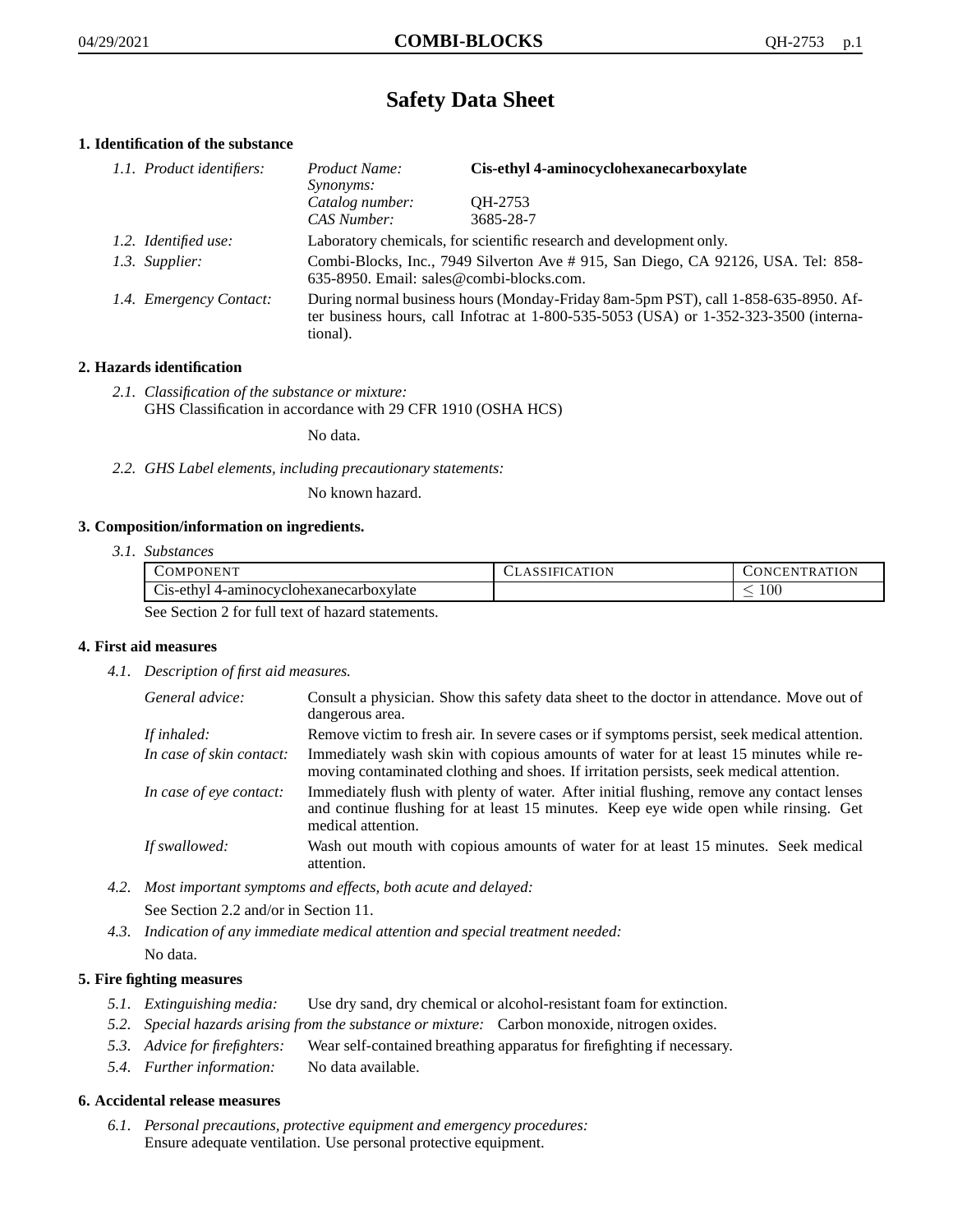# **Safety Data Sheet**

# **1. Identification of the substance**

| 1.1. Product identifiers: | Product Name:<br>Synonyms:                                                                                                                                                                  | Cis-ethyl 4-aminocyclohexanecarboxylate |
|---------------------------|---------------------------------------------------------------------------------------------------------------------------------------------------------------------------------------------|-----------------------------------------|
|                           | Catalog number:<br>CAS Number:                                                                                                                                                              | OH-2753<br>3685-28-7                    |
| 1.2. Identified use:      | Laboratory chemicals, for scientific research and development only.                                                                                                                         |                                         |
| 1.3. Supplier:            | Combi-Blocks, Inc., 7949 Silverton Ave # 915, San Diego, CA 92126, USA. Tel: 858-<br>635-8950. Email: sales@combi-blocks.com.                                                               |                                         |
| 1.4. Emergency Contact:   | During normal business hours (Monday-Friday 8am-5pm PST), call 1-858-635-8950. Af-<br>ter business hours, call Infotrac at $1-800-535-5053$ (USA) or $1-352-323-3500$ (interna-<br>tional). |                                         |

# **2. Hazards identification**

*2.1. Classification of the substance or mixture:* GHS Classification in accordance with 29 CFR 1910 (OSHA HCS)

No data.

*2.2. GHS Label elements, including precautionary statements:*

No known hazard.

# **3. Composition/information on ingredients.**

*3.1. Substances*

| COMPONENT                                      | CLASSIFICATION | CONCENTRATION.  |
|------------------------------------------------|----------------|-----------------|
| Cis-ethyl 4-aminocyclohexanecarboxylate        |                | $\overline{00}$ |
| See Section 2 for full toxi of here determined |                |                 |

See Section 2 for full text of hazard statements.

# **4. First aid measures**

*4.1. Description of first aid measures.*

| General advice:          | Consult a physician. Show this safety data sheet to the doctor in attendance. Move out of<br>dangerous area.                                                                                            |
|--------------------------|---------------------------------------------------------------------------------------------------------------------------------------------------------------------------------------------------------|
| If inhaled:              | Remove victim to fresh air. In severe cases or if symptoms persist, seek medical attention.                                                                                                             |
| In case of skin contact: | Immediately wash skin with copious amounts of water for at least 15 minutes while re-<br>moving contaminated clothing and shoes. If irritation persists, seek medical attention.                        |
| In case of eye contact:  | Immediately flush with plenty of water. After initial flushing, remove any contact lenses<br>and continue flushing for at least 15 minutes. Keep eye wide open while rinsing. Get<br>medical attention. |
| If swallowed:            | Wash out mouth with copious amounts of water for at least 15 minutes. Seek medical<br>attention.                                                                                                        |

*4.2. Most important symptoms and effects, both acute and delayed:*

See Section 2.2 and/or in Section 11.

*4.3. Indication of any immediate medical attention and special treatment needed:* No data.

# **5. Fire fighting measures**

- *5.1. Extinguishing media:* Use dry sand, dry chemical or alcohol-resistant foam for extinction.
- *5.2. Special hazards arising from the substance or mixture:* Carbon monoxide, nitrogen oxides.
- *5.3. Advice for firefighters:* Wear self-contained breathing apparatus for firefighting if necessary.
- *5.4. Further information:* No data available.

# **6. Accidental release measures**

*6.1. Personal precautions, protective equipment and emergency procedures:* Ensure adequate ventilation. Use personal protective equipment.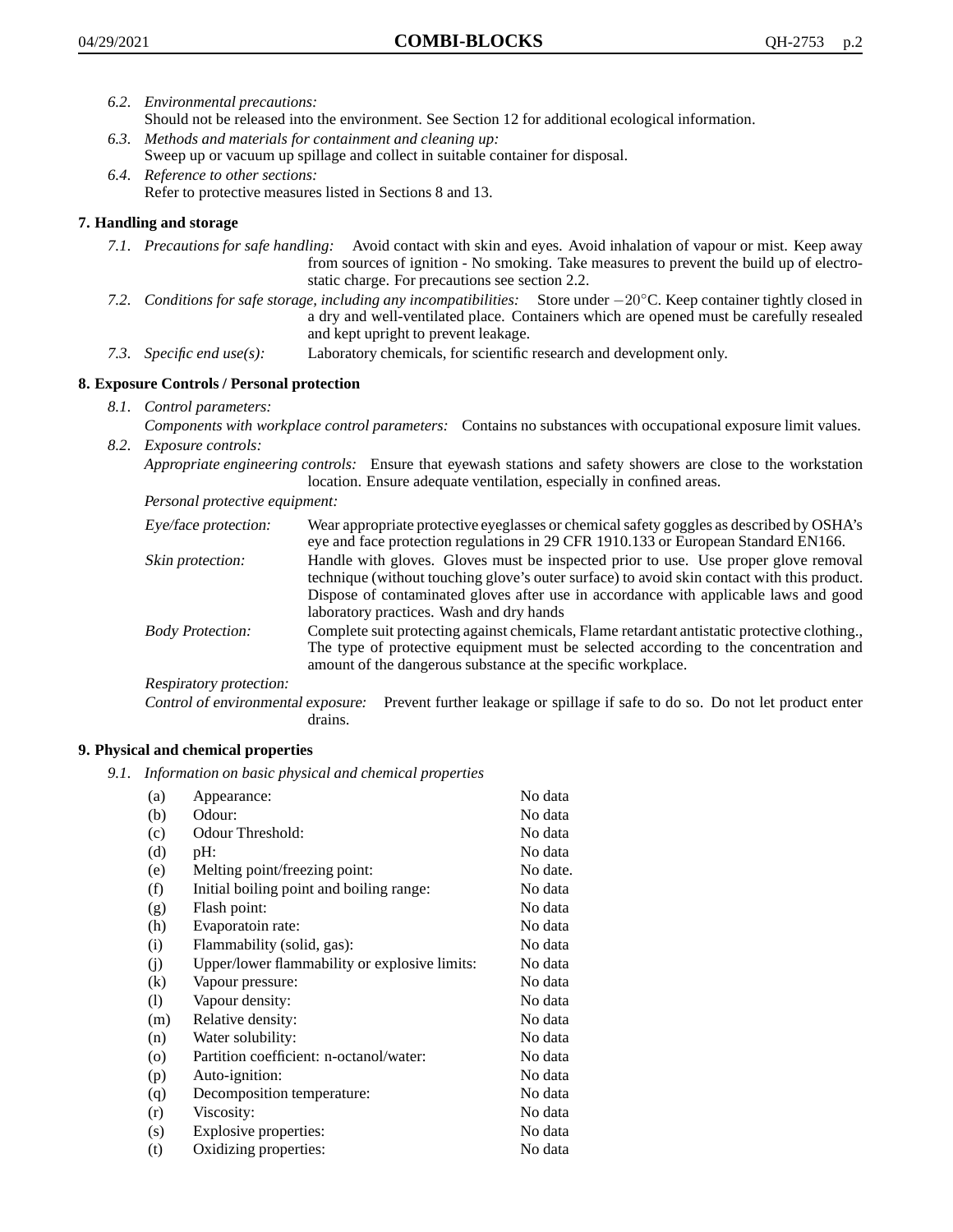- *6.2. Environmental precautions:*
	- Should not be released into the environment. See Section 12 for additional ecological information.
- *6.3. Methods and materials for containment and cleaning up:* Sweep up or vacuum up spillage and collect in suitable container for disposal.
- *6.4. Reference to other sections:* Refer to protective measures listed in Sections 8 and 13.

# **7. Handling and storage**

- *7.1. Precautions for safe handling:* Avoid contact with skin and eyes. Avoid inhalation of vapour or mist. Keep away from sources of ignition - No smoking. Take measures to prevent the build up of electrostatic charge. For precautions see section 2.2.
- *7.2. Conditions for safe storage, including any incompatibilities:* Store under −20◦C. Keep container tightly closed in a dry and well-ventilated place. Containers which are opened must be carefully resealed and kept upright to prevent leakage.
- *7.3. Specific end use(s):* Laboratory chemicals, for scientific research and development only.

# **8. Exposure Controls / Personal protection**

- *8.1. Control parameters:*
- *Components with workplace control parameters:* Contains no substances with occupational exposure limit values. *8.2. Exposure controls:*

*Appropriate engineering controls:* Ensure that eyewash stations and safety showers are close to the workstation location. Ensure adequate ventilation, especially in confined areas.

*Personal protective equipment:*

| Eye/face protection:    | Wear appropriate protective eyeglasses or chemical safety goggles as described by OSHA's<br>eye and face protection regulations in 29 CFR 1910.133 or European Standard EN166.                                                                                                                                         |
|-------------------------|------------------------------------------------------------------------------------------------------------------------------------------------------------------------------------------------------------------------------------------------------------------------------------------------------------------------|
| Skin protection:        | Handle with gloves. Gloves must be inspected prior to use. Use proper glove removal<br>technique (without touching glove's outer surface) to avoid skin contact with this product.<br>Dispose of contaminated gloves after use in accordance with applicable laws and good<br>laboratory practices. Wash and dry hands |
| <b>Body Protection:</b> | Complete suit protecting against chemicals, Flame retardant antistatic protective clothing.,<br>The type of protective equipment must be selected according to the concentration and<br>amount of the dangerous substance at the specific workplace.                                                                   |
| Respiratory protection: |                                                                                                                                                                                                                                                                                                                        |

Control of environmental exposure: Prevent further leakage or spillage if safe to do so. Do not let product enter drains.

# **9. Physical and chemical properties**

*9.1. Information on basic physical and chemical properties*

| (a)      | Appearance:                                   | No data  |
|----------|-----------------------------------------------|----------|
| (b)      | Odour:                                        | No data  |
| (c)      | Odour Threshold:                              | No data  |
| (d)      | pH:                                           | No data  |
| (e)      | Melting point/freezing point:                 | No date. |
| (f)      | Initial boiling point and boiling range:      | No data  |
| (g)      | Flash point:                                  | No data  |
| (h)      | Evaporatoin rate:                             | No data  |
| (i)      | Flammability (solid, gas):                    | No data  |
| (j)      | Upper/lower flammability or explosive limits: | No data  |
| $\rm(k)$ | Vapour pressure:                              | No data  |
| (1)      | Vapour density:                               | No data  |
| (m)      | Relative density:                             | No data  |
| (n)      | Water solubility:                             | No data  |
| $\circ$  | Partition coefficient: n-octanol/water:       | No data  |
| (p)      | Auto-ignition:                                | No data  |
| (q)      | Decomposition temperature:                    | No data  |
| (r)      | Viscosity:                                    | No data  |
| (s)      | Explosive properties:                         | No data  |
| (t)      | Oxidizing properties:                         | No data  |